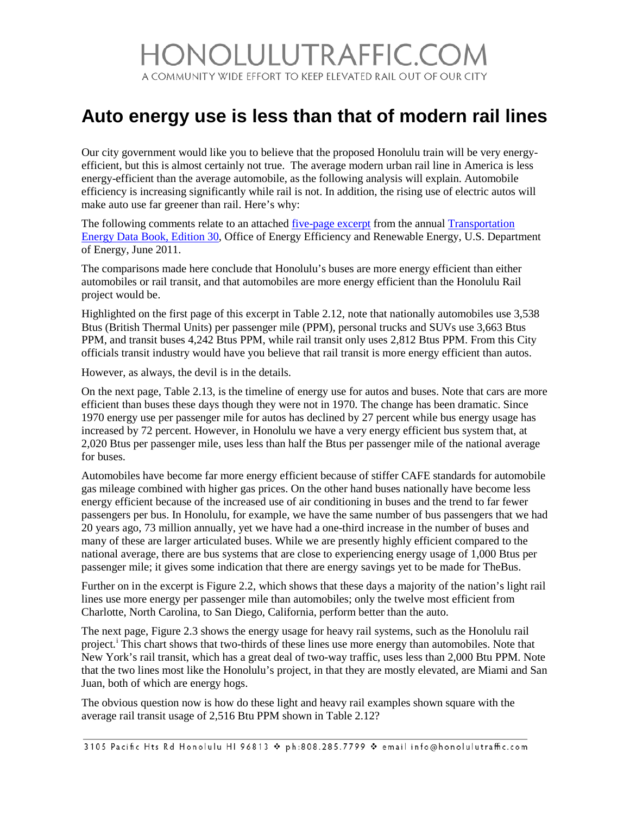## IONOLULUTRAFFIC.COM A COMMUNITY WIDE EFFORT TO KEEP ELEVATED RAIL OUT OF OUR CITY

## **Auto energy use is less than that of modern rail lines**

Our city government would like you to believe that the proposed Honolulu train will be very energyefficient, but this is almost certainly not true. The average modern urban rail line in America is less energy-efficient than the average automobile, as the following analysis will explain. Automobile efficiency is increasing significantly while rail is not. In addition, the rising use of electric autos will make auto use far greener than rail. Here's why:

The following comments relate to an attached <u>five-page excerpt</u> from the annual **Transportation** [Energy Data Book, Edition 30,](http://cta.ornl.gov/data/tedb30/Edition30_Full_Doc.pdf) Office of Energy Efficiency and Renewable Energy, U.S. Department of Energy, June 2011.

The comparisons made here conclude that Honolulu's buses are more energy efficient than either automobiles or rail transit, and that automobiles are more energy efficient than the Honolulu Rail project would be.

Highlighted on the first page of this excerpt in Table 2.12, note that nationally automobiles use 3,538 Btus (British Thermal Units) per passenger mile (PPM), personal trucks and SUVs use 3,663 Btus PPM, and transit buses 4,242 Btus PPM, while rail transit only uses 2,812 Btus PPM. From this City officials transit industry would have you believe that rail transit is more energy efficient than autos.

However, as always, the devil is in the details.

On the next page, Table 2.13, is the timeline of energy use for autos and buses. Note that cars are more efficient than buses these days though they were not in 1970. The change has been dramatic. Since 1970 energy use per passenger mile for autos has declined by 27 percent while bus energy usage has increased by 72 percent. However, in Honolulu we have a very energy efficient bus system that, at 2,020 Btus per passenger mile, uses less than half the Btus per passenger mile of the national average for buses.

Automobiles have become far more energy efficient because of stiffer CAFE standards for automobile gas mileage combined with higher gas prices. On the other hand buses nationally have become less energy efficient because of the increased use of air conditioning in buses and the trend to far fewer passengers per bus. In Honolulu, for example, we have the same number of bus passengers that we had 20 years ago, 73 million annually, yet we have had a one-third increase in the number of buses and many of these are larger articulated buses. While we are presently highly efficient compared to the national average, there are bus systems that are close to experiencing energy usage of 1,000 Btus per passenger mile; it gives some indication that there are energy savings yet to be made for TheBus.

Further on in the excerpt is Figure 2.2, which shows that these days a majority of the nation's light rail lines use more energy per passenger mile than automobiles; only the twelve most efficient from Charlotte, North Carolina, to San Diego, California, perform better than the auto.

The next page, Figure 2.3 shows the energy usage for heavy rail systems, such as the Honolulu rail project.<sup>1</sup> Th[i](#page-2-0)s chart shows that two-thirds of these lines use more energy than automobiles. Note that New York's rail transit, which has a great deal of two-way traffic, uses less than 2,000 Btu PPM. Note that the two lines most like the Honolulu's project, in that they are mostly elevated, are Miami and San Juan, both of which are energy hogs.

The obvious question now is how do these light and heavy rail examples shown square with the average rail transit usage of 2,516 Btu PPM shown in Table 2.12?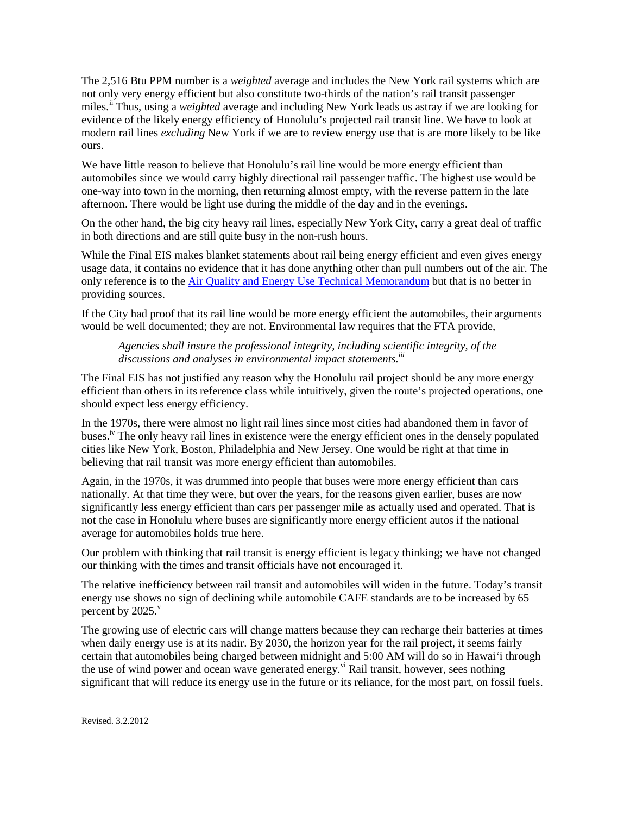The 2,516 Btu PPM number is a *weighted* average and includes the New York rail systems which are not only very energy efficient but also constitute two-thirds of the nation's rail transit passenger miles.<sup>[ii](#page-2-1)</sup> Thus, using a *weighted* average and including New York leads us astray if we are looking for evidence of the likely energy efficiency of Honolulu's projected rail transit line. We have to look at modern rail lines *excluding* New York if we are to review energy use that is are more likely to be like ours.

We have little reason to believe that Honolulu's rail line would be more energy efficient than automobiles since we would carry highly directional rail passenger traffic. The highest use would be one-way into town in the morning, then returning almost empty, with the reverse pattern in the late afternoon. There would be light use during the middle of the day and in the evenings.

On the other hand, the big city heavy rail lines, especially New York City, carry a great deal of traffic in both directions and are still quite busy in the non-rush hours.

While the Final EIS makes blanket statements about rail being energy efficient and even gives energy usage data, it contains no evidence that it has done anything other than pull numbers out of the air. The only reference is to th[e Air Quality and Energy Use Technical Memorandum](http://www.honolulutraffic.com/AQ&Energy.pdf) but that is no better in providing sources.

If the City had proof that its rail line would be more energy efficient the automobiles, their arguments would be well documented; they are not. Environmental law requires that the FTA provide,

*Agencies shall insure the professional integrity, including scientific integrity, of the discussions and analyses in environmental impact statements. iii*

The Final EIS has not justified any reason why the Honolulu rail project should be any more energy efficient than others in its reference class while intuitively, given the route's projected operations, one should expect less energy efficiency.

In the 1970s, there were almost no light rail lines since most cities had abandoned them in favor of buses.<sup>iv</sup> The only heavy rail lines in existence were the energy efficient ones in the densely populated cities like New York, Boston, Philadelphia and New Jersey. One would be right at that time in believing that rail transit was more energy efficient than automobiles.

Again, in the 1970s, it was drummed into people that buses were more energy efficient than cars nationally. At that time they were, but over the years, for the reasons given earlier, buses are now significantly less energy efficient than cars per passenger mile as actually used and operated. That is not the case in Honolulu where buses are significantly more energy efficient autos if the national average for automobiles holds true here.

Our problem with thinking that rail transit is energy efficient is legacy thinking; we have not changed our thinking with the times and transit officials have not encouraged it.

The relative inefficiency between rail transit and automobiles will widen in the future. Today's transit energy use shows no sign of declining while automobile CAFE standards are to be increased by 65 percent by  $2025.$ <sup>v</sup>

The growing use of electric cars will change matters because they can recharge their batteries at times when daily energy use is at its nadir. By 2030, the horizon year for the rail project, it seems fairly certain that automobiles being charged between midnight and 5:00 AM will do so in Hawai'i through the use of wind power and ocean wave generated energy.<sup>vi</sup> Rail transit, however, sees nothing significant that will reduce its energy use in the future or its reliance, for the most part, on fossil fuels.